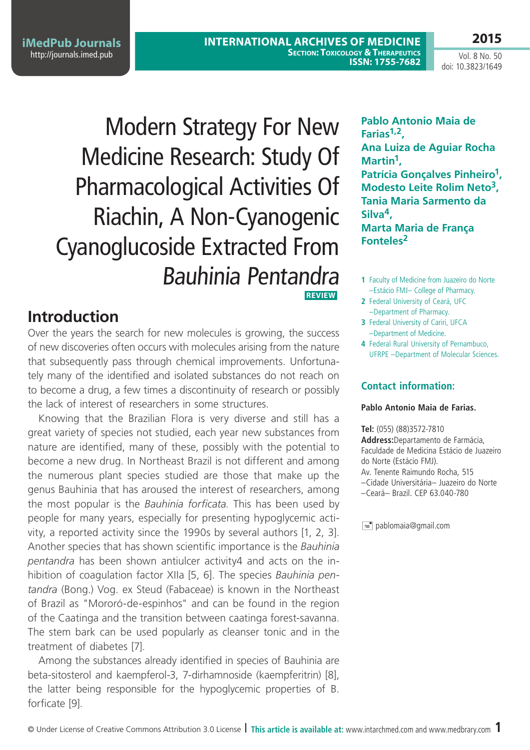**2015**

# Modern Strategy For New Medicine Research: Study Of Pharmacological Activities Of Riachin, A Non-Cyanogenic Cyanoglucoside Extracted From Bauhinia Pentandra **Review**

# **Introduction**

Over the years the search for new molecules is growing, the success of new discoveries often occurs with molecules arising from the nature that subsequently pass through chemical improvements. Unfortunately many of the identified and isolated substances do not reach on to become a drug, a few times a discontinuity of research or possibly the lack of interest of researchers in some structures.

Knowing that the Brazilian Flora is very diverse and still has a great variety of species not studied, each year new substances from nature are identified, many of these, possibly with the potential to become a new drug. In Northeast Brazil is not different and among the numerous plant species studied are those that make up the genus Bauhinia that has aroused the interest of researchers, among the most popular is the *Bauhinia forficata*. This has been used by people for many years, especially for presenting hypoglycemic activity, a reported activity since the 1990s by several authors [1, 2, 3]. Another species that has shown scientific importance is the *Bauhinia pentandra* has been shown antiulcer activity4 and acts on the inhibition of coagulation factor XIIa [5, 6]. The species *Bauhinia pentandra* (Bong.) Vog. ex Steud (Fabaceae) is known in the Northeast of Brazil as "Mororó-de-espinhos" and can be found in the region of the Caatinga and the transition between caatinga forest-savanna. The stem bark can be used popularly as cleanser tonic and in the treatment of diabetes [7].

Among the substances already identified in species of Bauhinia are beta-sitosterol and kaempferol-3, 7-dirhamnoside (kaempferitrin) [8], the latter being responsible for the hypoglycemic properties of B. forficate [9].

**Pablo Antonio Maia de Farias1,2, Ana Luiza de Aguiar Rocha Martin1, Patrícia Gonçalves Pinheiro1, Modesto Leite Rolim Neto3, Tania Maria Sarmento da Silva4, Marta Maria de França Fonteles2**

- **1** Faculty of Medicine from Juazeiro do Norte –Estácio FMJ– College of Pharmacy.
- **2** Federal University of Ceará, UFC –Department of Pharmacy.
- **3** Federal University of Cariri, UFCA –Department of Medicine.
- **4** Federal Rural University of Pernambuco, UFRPE –Department of Molecular Sciences.

### **Contact information:**

#### **Pablo Antonio Maia de Farias.**

**Tel:** (055) (88)3572-7810

**Address:**Departamento de Farmácia, Faculdade de Medicina Estácio de Juazeiro do Norte (Estácio FMJ). Av. Tenente Raimundo Rocha, 515 –Cidade Universitária– Juazeiro do Norte –Ceará– Brazil. CEP 63.040-780

 $\equiv$  pablomaia@gmail.com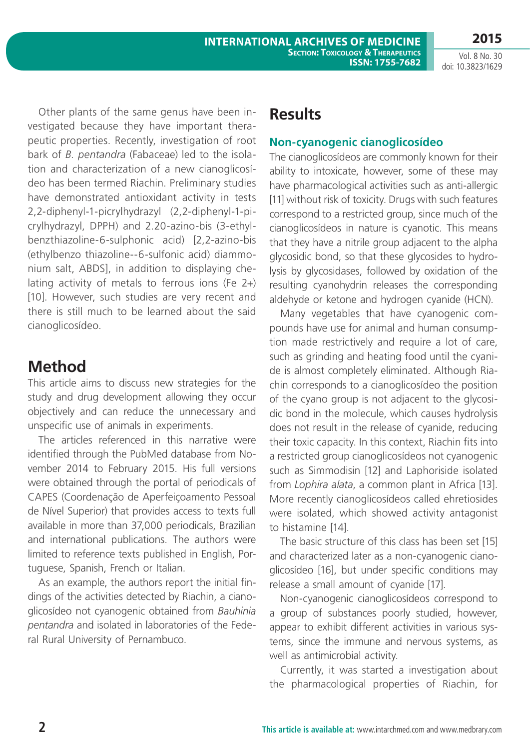Other plants of the same genus have been investigated because they have important therapeutic properties. Recently, investigation of root bark of *B. pentandra* (Fabaceae) led to the isolation and characterization of a new cianoglicosídeo has been termed Riachin. Preliminary studies have demonstrated antioxidant activity in tests 2,2-diphenyl-1-picrylhydrazyl (2,2-diphenyl-1-picrylhydrazyl, DPPH) and 2.20-azino-bis (3-ethylbenzthiazoline-6-sulphonic acid) [2,2-azino-bis (ethylbenzo thiazoline--6-sulfonic acid) diammonium salt, ABDS], in addition to displaying chelating activity of metals to ferrous ions (Fe 2+) [10]. However, such studies are very recent and there is still much to be learned about the said cianoglicosídeo.

# **Method**

This article aims to discuss new strategies for the study and drug development allowing they occur objectively and can reduce the unnecessary and unspecific use of animals in experiments.

The articles referenced in this narrative were identified through the PubMed database from November 2014 to February 2015. His full versions were obtained through the portal of periodicals of CAPES (Coordenação de Aperfeiçoamento Pessoal de Nível Superior) that provides access to texts full available in more than 37,000 periodicals, Brazilian and international publications. The authors were limited to reference texts published in English, Portuguese, Spanish, French or Italian.

As an example, the authors report the initial findings of the activities detected by Riachin, a cianoglicosídeo not cyanogenic obtained from *Bauhinia pentandra* and isolated in laboratories of the Federal Rural University of Pernambuco.

# **Results**

### **Non-cyanogenic cianoglicosídeo**

The cianoglicosídeos are commonly known for their ability to intoxicate, however, some of these may have pharmacological activities such as anti-allergic [11] without risk of toxicity. Drugs with such features correspond to a restricted group, since much of the cianoglicosídeos in nature is cyanotic. This means that they have a nitrile group adjacent to the alpha glycosidic bond, so that these glycosides to hydrolysis by glycosidases, followed by oxidation of the resulting cyanohydrin releases the corresponding aldehyde or ketone and hydrogen cyanide (HCN).

Many vegetables that have cyanogenic compounds have use for animal and human consumption made restrictively and require a lot of care, such as grinding and heating food until the cyanide is almost completely eliminated. Although Riachin corresponds to a cianoglicosídeo the position of the cyano group is not adjacent to the glycosidic bond in the molecule, which causes hydrolysis does not result in the release of cyanide, reducing their toxic capacity. In this context, Riachin fits into a restricted group cianoglicosídeos not cyanogenic such as Simmodisin [12] and Laphoriside isolated from *Lophira alata*, a common plant in Africa [13]. More recently cianoglicosídeos called ehretiosides were isolated, which showed activity antagonist to histamine [14].

The basic structure of this class has been set [15] and characterized later as a non-cyanogenic cianoglicosídeo [16], but under specific conditions may release a small amount of cyanide [17].

Non-cyanogenic cianoglicosídeos correspond to a group of substances poorly studied, however, appear to exhibit different activities in various systems, since the immune and nervous systems, as well as antimicrobial activity.

Currently, it was started a investigation about the pharmacological properties of Riachin, for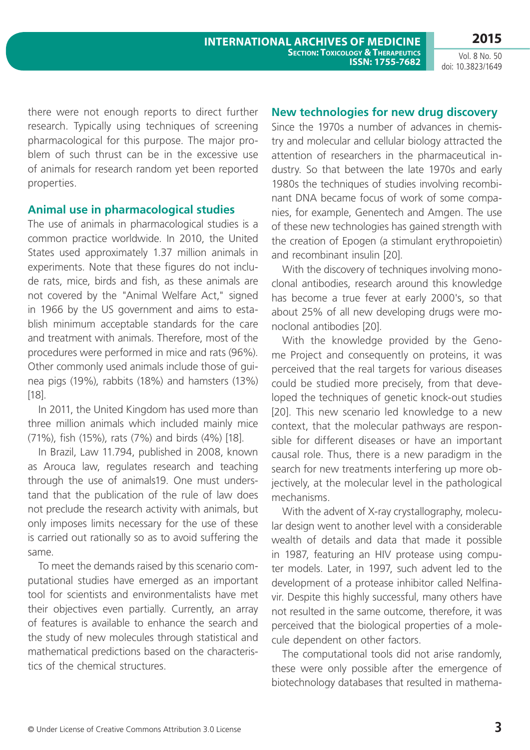there were not enough reports to direct further research. Typically using techniques of screening pharmacological for this purpose. The major problem of such thrust can be in the excessive use of animals for research random yet been reported properties.

#### **Animal use in pharmacological studies**

The use of animals in pharmacological studies is a common practice worldwide. In 2010, the United States used approximately 1.37 million animals in experiments. Note that these figures do not include rats, mice, birds and fish, as these animals are not covered by the "Animal Welfare Act," signed in 1966 by the US government and aims to establish minimum acceptable standards for the care and treatment with animals. Therefore, most of the procedures were performed in mice and rats (96%). Other commonly used animals include those of guinea pigs (19%), rabbits (18%) and hamsters (13%) [18].

In 2011, the United Kingdom has used more than three million animals which included mainly mice (71%), fish (15%), rats (7%) and birds (4%) [18].

In Brazil, Law 11.794, published in 2008, known as Arouca law, regulates research and teaching through the use of animals19. One must understand that the publication of the rule of law does not preclude the research activity with animals, but only imposes limits necessary for the use of these is carried out rationally so as to avoid suffering the same.

To meet the demands raised by this scenario computational studies have emerged as an important tool for scientists and environmentalists have met their objectives even partially. Currently, an array of features is available to enhance the search and the study of new molecules through statistical and mathematical predictions based on the characteristics of the chemical structures.

#### **New technologies for new drug discovery**

Since the 1970s a number of advances in chemistry and molecular and cellular biology attracted the attention of researchers in the pharmaceutical industry. So that between the late 1970s and early 1980s the techniques of studies involving recombinant DNA became focus of work of some companies, for example, Genentech and Amgen. The use of these new technologies has gained strength with the creation of Epogen (a stimulant erythropoietin) and recombinant insulin [20].

With the discovery of techniques involving monoclonal antibodies, research around this knowledge has become a true fever at early 2000's, so that about 25% of all new developing drugs were monoclonal antibodies [20].

With the knowledge provided by the Genome Project and consequently on proteins, it was perceived that the real targets for various diseases could be studied more precisely, from that developed the techniques of genetic knock-out studies [20]. This new scenario led knowledge to a new context, that the molecular pathways are responsible for different diseases or have an important causal role. Thus, there is a new paradigm in the search for new treatments interfering up more objectively, at the molecular level in the pathological mechanisms.

With the advent of X-ray crystallography, molecular design went to another level with a considerable wealth of details and data that made it possible in 1987, featuring an HIV protease using computer models. Later, in 1997, such advent led to the development of a protease inhibitor called Nelfinavir. Despite this highly successful, many others have not resulted in the same outcome, therefore, it was perceived that the biological properties of a molecule dependent on other factors.

The computational tools did not arise randomly, these were only possible after the emergence of biotechnology databases that resulted in mathema-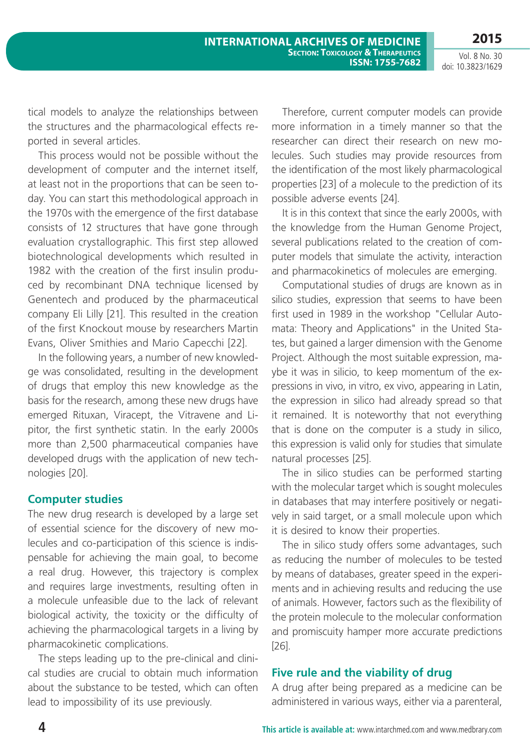tical models to analyze the relationships between the structures and the pharmacological effects reported in several articles.

This process would not be possible without the development of computer and the internet itself, at least not in the proportions that can be seen today. You can start this methodological approach in the 1970s with the emergence of the first database consists of 12 structures that have gone through evaluation crystallographic. This first step allowed biotechnological developments which resulted in 1982 with the creation of the first insulin produced by recombinant DNA technique licensed by Genentech and produced by the pharmaceutical company Eli Lilly [21]. This resulted in the creation of the first Knockout mouse by researchers Martin Evans, Oliver Smithies and Mario Capecchi [22].

In the following years, a number of new knowledge was consolidated, resulting in the development of drugs that employ this new knowledge as the basis for the research, among these new drugs have emerged Rituxan, Viracept, the Vitravene and Lipitor, the first synthetic statin. In the early 2000s more than 2,500 pharmaceutical companies have developed drugs with the application of new technologies [20].

#### **Computer studies**

The new drug research is developed by a large set of essential science for the discovery of new molecules and co-participation of this science is indispensable for achieving the main goal, to become a real drug. However, this trajectory is complex and requires large investments, resulting often in a molecule unfeasible due to the lack of relevant biological activity, the toxicity or the difficulty of achieving the pharmacological targets in a living by pharmacokinetic complications.

The steps leading up to the pre-clinical and clinical studies are crucial to obtain much information about the substance to be tested, which can often lead to impossibility of its use previously.

Therefore, current computer models can provide more information in a timely manner so that the researcher can direct their research on new molecules. Such studies may provide resources from the identification of the most likely pharmacological properties [23] of a molecule to the prediction of its possible adverse events [24].

It is in this context that since the early 2000s, with the knowledge from the Human Genome Project, several publications related to the creation of computer models that simulate the activity, interaction and pharmacokinetics of molecules are emerging.

Computational studies of drugs are known as in silico studies, expression that seems to have been first used in 1989 in the workshop "Cellular Automata: Theory and Applications" in the United States, but gained a larger dimension with the Genome Project. Although the most suitable expression, maybe it was in silicio, to keep momentum of the expressions in vivo, in vitro, ex vivo, appearing in Latin, the expression in silico had already spread so that it remained. It is noteworthy that not everything that is done on the computer is a study in silico, this expression is valid only for studies that simulate natural processes [25].

The in silico studies can be performed starting with the molecular target which is sought molecules in databases that may interfere positively or negatively in said target, or a small molecule upon which it is desired to know their properties.

The in silico study offers some advantages, such as reducing the number of molecules to be tested by means of databases, greater speed in the experiments and in achieving results and reducing the use of animals. However, factors such as the flexibility of the protein molecule to the molecular conformation and promiscuity hamper more accurate predictions [26].

#### **Five rule and the viability of drug**

A drug after being prepared as a medicine can be administered in various ways, either via a parenteral,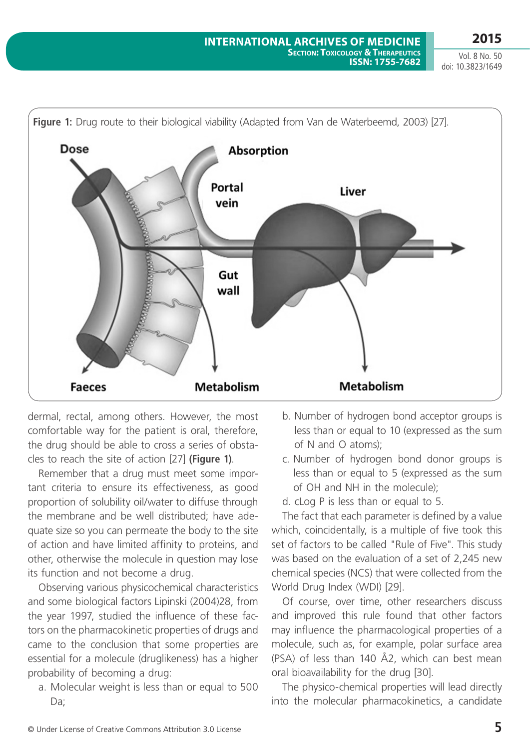

dermal, rectal, among others. However, the most comfortable way for the patient is oral, therefore, the drug should be able to cross a series of obstacles to reach the site of action [27] **(Figure 1)**.

Remember that a drug must meet some important criteria to ensure its effectiveness, as good proportion of solubility oil/water to diffuse through the membrane and be well distributed; have adequate size so you can permeate the body to the site of action and have limited affinity to proteins, and other, otherwise the molecule in question may lose its function and not become a drug.

Observing various physicochemical characteristics and some biological factors Lipinski (2004)28, from the year 1997, studied the influence of these factors on the pharmacokinetic properties of drugs and came to the conclusion that some properties are essential for a molecule (druglikeness) has a higher probability of becoming a drug:

a. Molecular weight is less than or equal to 500 Da;

- b. Number of hydrogen bond acceptor groups is less than or equal to 10 (expressed as the sum of N and O atoms);
- c. Number of hydrogen bond donor groups is less than or equal to 5 (expressed as the sum of OH and NH in the molecule);
- d. cLog P is less than or equal to 5.

The fact that each parameter is defined by a value which, coincidentally, is a multiple of five took this set of factors to be called "Rule of Five". This study was based on the evaluation of a set of 2,245 new chemical species (NCS) that were collected from the World Drug Index (WDI) [29].

Of course, over time, other researchers discuss and improved this rule found that other factors may influence the pharmacological properties of a molecule, such as, for example, polar surface area (PSA) of less than 140 Å2, which can best mean oral bioavailability for the drug [30].

The physico-chemical properties will lead directly into the molecular pharmacokinetics, a candidate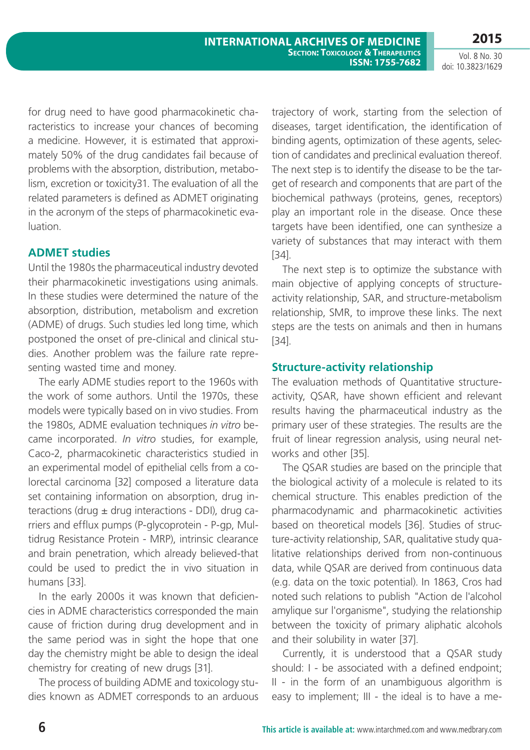for drug need to have good pharmacokinetic characteristics to increase your chances of becoming a medicine. However, it is estimated that approximately 50% of the drug candidates fail because of problems with the absorption, distribution, metabolism, excretion or toxicity31. The evaluation of all the related parameters is defined as ADMET originating in the acronym of the steps of pharmacokinetic evaluation.

#### **ADMET studies**

Until the 1980s the pharmaceutical industry devoted their pharmacokinetic investigations using animals. In these studies were determined the nature of the absorption, distribution, metabolism and excretion (ADME) of drugs. Such studies led long time, which postponed the onset of pre-clinical and clinical studies. Another problem was the failure rate representing wasted time and money.

The early ADME studies report to the 1960s with the work of some authors. Until the 1970s, these models were typically based on in vivo studies. From the 1980s, ADME evaluation techniques *in vitro* became incorporated. *In vitro* studies, for example, Caco-2, pharmacokinetic characteristics studied in an experimental model of epithelial cells from a colorectal carcinoma [32] composed a literature data set containing information on absorption, drug interactions (drug  $\pm$  drug interactions - DDI), drug carriers and efflux pumps (P-glycoprotein - P-gp, Multidrug Resistance Protein - MRP), intrinsic clearance and brain penetration, which already believed-that could be used to predict the in vivo situation in humans [33].

In the early 2000s it was known that deficiencies in ADME characteristics corresponded the main cause of friction during drug development and in the same period was in sight the hope that one day the chemistry might be able to design the ideal chemistry for creating of new drugs [31].

The process of building ADME and toxicology studies known as ADMET corresponds to an arduous trajectory of work, starting from the selection of diseases, target identification, the identification of binding agents, optimization of these agents, selection of candidates and preclinical evaluation thereof. The next step is to identify the disease to be the target of research and components that are part of the biochemical pathways (proteins, genes, receptors) play an important role in the disease. Once these targets have been identified, one can synthesize a variety of substances that may interact with them [34].

The next step is to optimize the substance with main objective of applying concepts of structureactivity relationship, SAR, and structure-metabolism relationship, SMR, to improve these links. The next steps are the tests on animals and then in humans [34].

#### **Structure-activity relationship**

The evaluation methods of Quantitative structureactivity, QSAR, have shown efficient and relevant results having the pharmaceutical industry as the primary user of these strategies. The results are the fruit of linear regression analysis, using neural networks and other [35].

The QSAR studies are based on the principle that the biological activity of a molecule is related to its chemical structure. This enables prediction of the pharmacodynamic and pharmacokinetic activities based on theoretical models [36]. Studies of structure-activity relationship, SAR, qualitative study qualitative relationships derived from non-continuous data, while QSAR are derived from continuous data (e.g. data on the toxic potential). In 1863, Cros had noted such relations to publish "Action de l'alcohol amylique sur l'organisme", studying the relationship between the toxicity of primary aliphatic alcohols and their solubility in water [37].

Currently, it is understood that a QSAR study should: I - be associated with a defined endpoint; II - in the form of an unambiguous algorithm is easy to implement; III - the ideal is to have a me-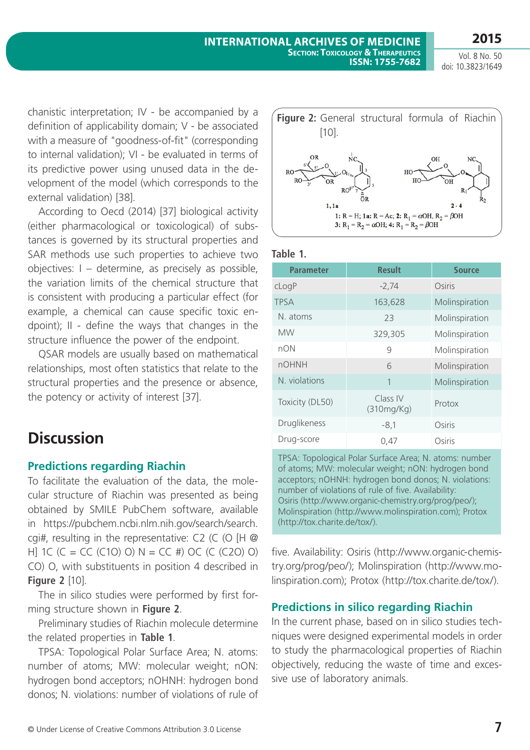chanistic interpretation; IV - be accompanied by a definition of applicability domain; V - be associated with a measure of "goodness-of-fit" (corresponding to internal validation); VI - be evaluated in terms of its predictive power using unused data in the development of the model (which corresponds to the external validation) [38].

According to Oecd (2014) [37] biological activity (either pharmacological or toxicological) of substances is governed by its structural properties and SAR methods use such properties to achieve two objectives: I – determine, as precisely as possible, the variation limits of the chemical structure that is consistent with producing a particular effect (for example, a chemical can cause specific toxic endpoint); II - define the ways that changes in the structure influence the power of the endpoint.

QSAR models are usually based on mathematical relationships, most often statistics that relate to the structural properties and the presence or absence, the potency or activity of interest [37].

# **Discussion**

### **Predictions regarding Riachin**

To facilitate the evaluation of the data, the molecular structure of Riachin was presented as being obtained by SMILE PubChem software, available in https://pubchem.ncbi.nlm.nih.gov/search/search. cgi#, resulting in the representative: C2 (C (O [H @ H] 1C (C = CC (C1O) O) N = CC #) OC (C (C2O) O) CO) O, with substituents in position 4 described in **Figure 2** [10].

The in silico studies were performed by first forming structure shown in **Figure 2**.

Preliminary studies of Riachin molecule determine the related properties in **Table 1**.

TPSA: Topological Polar Surface Area; N. atoms: number of atoms; MW: molecular weight; nON: hydrogen bond acceptors; nOHNH: hydrogen bond donos; N. violations: number of violations of rule of



**Table 1.**

| <b>Parameter</b> | <b>Result</b>          | <b>Source</b>  |
|------------------|------------------------|----------------|
| cLogP            | $-2,74$                | Osiris         |
| <b>TPSA</b>      | 163,628                | Molinspiration |
| N. atoms         | 23                     | Molinspiration |
| <b>MW</b>        | 329,305                | Molinspiration |
| nON              | 9                      | Molinspiration |
| <b>nOHNH</b>     | 6                      | Molinspiration |
| N. violations    | 1                      | Molinspiration |
| Toxicity (DL50)  | Class IV<br>(310mg/Kg) | Protox         |
| Druglikeness     | $-8,1$                 | Osiris         |
| Drug-score       | 0.47                   | Osiris         |

TPSA: Topological Polar Surface Area; N. atoms: number of atoms; MW: molecular weight; nON: hydrogen bond acceptors; nOHNH: hydrogen bond donos; N. violations: number of violations of rule of five. Availability: Osiris (http://www.organic-chemistry.org/prog/peo/); Molinspiration (http://www.molinspiration.com); Protox (http://tox.charite.de/tox/).

five. Availability: Osiris (http://www.organic-chemistry.org/prog/peo/); Molinspiration (http://www.molinspiration.com); Protox (http://tox.charite.de/tox/).

### **Predictions in silico regarding Riachin**

In the current phase, based on in silico studies techniques were designed experimental models in order to study the pharmacological properties of Riachin objectively, reducing the waste of time and excessive use of laboratory animals.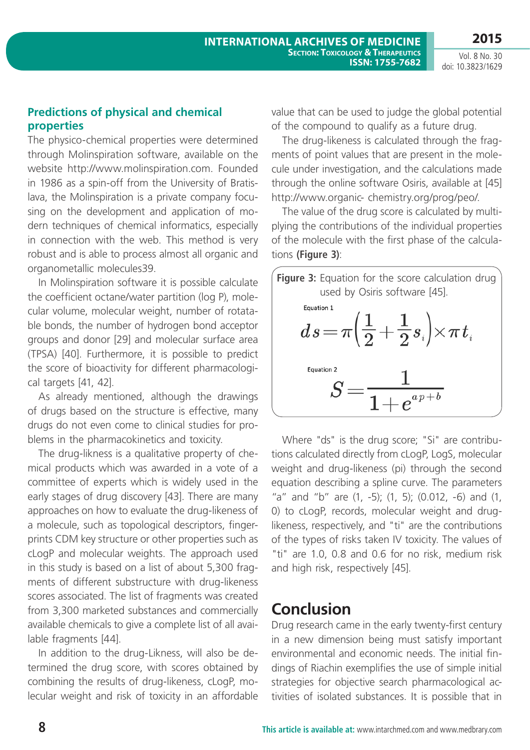### **Predictions of physical and chemical properties**

The physico-chemical properties were determined through Molinspiration software, available on the website http://www.molinspiration.com. Founded in 1986 as a spin-off from the University of Bratislava, the Molinspiration is a private company focusing on the development and application of modern techniques of chemical informatics, especially in connection with the web. This method is very robust and is able to process almost all organic and organometallic molecules39.

In Molinspiration software it is possible calculate the coefficient octane/water partition (log P), molecular volume, molecular weight, number of rotatable bonds, the number of hydrogen bond acceptor groups and donor [29] and molecular surface area (TPSA) [40]. Furthermore, it is possible to predict the score of bioactivity for different pharmacological targets [41, 42].

As already mentioned, although the drawings of drugs based on the structure is effective, many drugs do not even come to clinical studies for problems in the pharmacokinetics and toxicity.

The drug-likness is a qualitative property of chemical products which was awarded in a vote of a committee of experts which is widely used in the early stages of drug discovery [43]. There are many approaches on how to evaluate the drug-likeness of a molecule, such as topological descriptors, fingerprints CDM key structure or other properties such as cLogP and molecular weights. The approach used in this study is based on a list of about 5,300 fragments of different substructure with drug-likeness scores associated. The list of fragments was created from 3,300 marketed substances and commercially available chemicals to give a complete list of all available fragments [44].

In addition to the drug-Likness, will also be determined the drug score, with scores obtained by combining the results of drug-likeness, cLogP, molecular weight and risk of toxicity in an affordable value that can be used to judge the global potential of the compound to qualify as a future drug.

The drug-likeness is calculated through the fragments of point values that are present in the molecule under investigation, and the calculations made through the online software Osiris, available at [45] http://www.organic- chemistry.org/prog/peo/.

The value of the drug score is calculated by multiplying the contributions of the individual properties of the molecule with the first phase of the calculations **(Figure 3)**:



Where "ds" is the drug score; "Si" are contributions calculated directly from cLogP, LogS, molecular weight and drug-likeness (pi) through the second equation describing a spline curve. The parameters "a" and "b" are (1, -5); (1, 5); (0.012, -6) and (1, 0) to cLogP, records, molecular weight and druglikeness, respectively, and "ti" are the contributions of the types of risks taken IV toxicity. The values of "ti" are 1.0, 0.8 and 0.6 for no risk, medium risk and high risk, respectively [45].

### **Conclusion**

Drug research came in the early twenty-first century in a new dimension being must satisfy important environmental and economic needs. The initial findings of Riachin exemplifies the use of simple initial strategies for objective search pharmacological activities of isolated substances. It is possible that in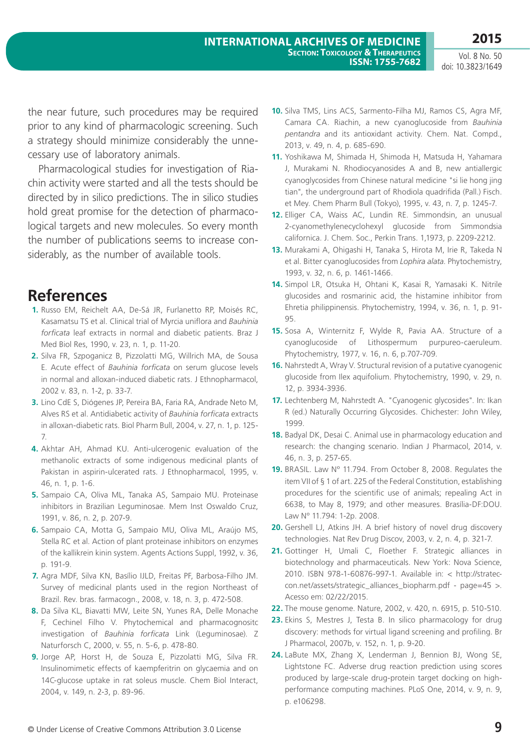the near future, such procedures may be required prior to any kind of pharmacologic screening. Such a strategy should minimize considerably the unnecessary use of laboratory animals.

Pharmacological studies for investigation of Riachin activity were started and all the tests should be directed by in silico predictions. The in silico studies hold great promise for the detection of pharmacological targets and new molecules. So every month the number of publications seems to increase considerably, as the number of available tools.

## **References**

- **1.** Russo EM, Reichelt AA, De-Sá JR, Furlanetto RP, Moisés RC, Kasamatsu TS et al. Clinical trial of Myrcia uniflora and *Bauhinia forficata* leaf extracts in normal and diabetic patients. Braz J Med Biol Res, 1990, v. 23, n. 1, p. 11-20.
- **2.** Silva FR, Szpoganicz B, Pizzolatti MG, Willrich MA, de Sousa E. Acute effect of *Bauhinia forficata* on serum glucose levels in normal and alloxan-induced diabetic rats. J Ethnopharmacol, 2002 v. 83, n. 1-2, p. 33-7.
- **3.** Lino CdE S, Diógenes JP, Pereira BA, Faria RA, Andrade Neto M, Alves RS et al. Antidiabetic activity of *Bauhinia forficata* extracts in alloxan-diabetic rats. Biol Pharm Bull, 2004, v. 27, n. 1, p. 125- 7.
- **4.** Akhtar AH, Ahmad KU. Anti-ulcerogenic evaluation of the methanolic extracts of some indigenous medicinal plants of Pakistan in aspirin-ulcerated rats. J Ethnopharmacol, 1995, v. 46, n. 1, p. 1-6.
- **5.** Sampaio CA, Oliva ML, Tanaka AS, Sampaio MU. Proteinase inhibitors in Brazilian Leguminosae. Mem Inst Oswaldo Cruz, 1991, v. 86, n. 2, p. 207-9.
- **6.** Sampaio CA, Motta G, Sampaio MU, Oliva ML, Araújo MS, Stella RC et al. Action of plant proteinase inhibitors on enzymes of the kallikrein kinin system. Agents Actions Suppl, 1992, v. 36, p. 191-9.
- **7.** Agra MDF, Silva KN, Basílio IJLD, Freitas PF, Barbosa-Filho JM. Survey of medicinal plants used in the region Northeast of Brazil. Rev. bras. farmacogn., 2008, v. 18, n. 3, p. 472-508.
- **8.** Da Silva KL, Biavatti MW, Leite SN, Yunes RA, Delle Monache F, Cechinel Filho V. Phytochemical and pharmacognositc investigation of *Bauhinia forficata* Link (Leguminosae). Z Naturforsch C, 2000, v. 55, n. 5-6, p. 478-80.
- **9.** Jorge AP, Horst H, de Souza E, Pizzolatti MG, Silva FR. Insulinomimetic effects of kaempferitrin on glycaemia and on 14C-glucose uptake in rat soleus muscle. Chem Biol Interact, 2004, v. 149, n. 2-3, p. 89-96.
- **10.** Silva TMS, Lins ACS, Sarmento-Filha MJ, Ramos CS, Agra MF, Camara CA. Riachin, a new cyanoglucoside from *Bauhinia pentandra* and its antioxidant activity. Chem. Nat. Compd., 2013, v. 49, n. 4, p. 685-690.
- **11.** Yoshikawa M, Shimada H, Shimoda H, Matsuda H, Yahamara J, Murakami N. Rhodiocyanosides A and B, new antiallergic cyanoglycosides from Chinese natural medicine "si lie hong jing tian", the underground part of Rhodiola quadrifida (Pall.) Fisch. et Mey. Chem Pharm Bull (Tokyo), 1995, v. 43, n. 7, p. 1245-7.
- **12.** Elliger CA, Waiss AC, Lundin RE. Simmondsin, an unusual 2-cyanomethylenecyclohexyl glucoside from Simmondsia californica. J. Chem. Soc., Perkin Trans. 1,1973, p. 2209-2212.
- **13.** Murakami A, Ohigashi H, Tanaka S, Hirota M, Irie R, Takeda N et al. Bitter cyanoglucosides from *Lophira alata*. Phytochemistry, 1993, v. 32, n. 6, p. 1461-1466.
- **14.** Simpol LR, Otsuka H, Ohtani K, Kasai R, Yamasaki K. Nitrile glucosides and rosmarinic acid, the histamine inhibitor from Ehretia philippinensis. Phytochemistry, 1994, v. 36, n. 1, p. 91- 95.
- **15.** Sosa A, Winternitz F, Wylde R, Pavia AA. Structure of a cyanoglucoside of Lithospermum purpureo-caeruleum. Phytochemistry, 1977, v. 16, n. 6, p.707-709.
- **16.** Nahrstedt A, Wray V. Structural revision of a putative cyanogenic glucoside from Ilex aquifolium. Phytochemistry, 1990, v. 29, n. 12, p. 3934-3936.
- **17.** Lechtenberg M, Nahrstedt A. "Cyanogenic glycosides". In: Ikan R (ed.) Naturally Occurring Glycosides. Chichester: John Wiley, 1999.
- **18.** Badyal DK, Desai C. Animal use in pharmacology education and research: the changing scenario. Indian J Pharmacol, 2014, v. 46, n. 3, p. 257-65.
- **19.** BRASIL. Law Nº 11.794. From October 8, 2008. Regulates the item VII of § 1 of art. 225 of the Federal Constitution, establishing procedures for the scientific use of animals; repealing Act in 6638, to May 8, 1979; and other measures. Brasília-DF:DOU. Law Nº 11.794: 1-2p. 2008.
- **20.** Gershell LJ, Atkins JH. A brief history of novel drug discovery technologies. Nat Rev Drug Discov, 2003, v. 2, n. 4, p. 321-7.
- **21.** Gottinger H, Umali C, Floether F. Strategic alliances in biotechnology and pharmaceuticals. New York: Nova Science, 2010. ISBN 978-1-60876-997-1. Available in: < http://strateccon.net/assets/strategic\_alliances\_biopharm.pdf - page=45 >. Acesso em: 02/22/2015.
- **22.** The mouse genome. Nature, 2002, v. 420, n. 6915, p. 510-510.
- **23.** Ekins S, Mestres J, Testa B. In silico pharmacology for drug discovery: methods for virtual ligand screening and profiling. Br J Pharmacol, 2007b, v. 152, n. 1, p. 9-20.
- **24.** LaBute MX, Zhang X, Lenderman J, Bennion BJ, Wong SE, Lightstone FC. Adverse drug reaction prediction using scores produced by large-scale drug-protein target docking on highperformance computing machines. PLoS One, 2014, v. 9, n. 9, p. e106298.